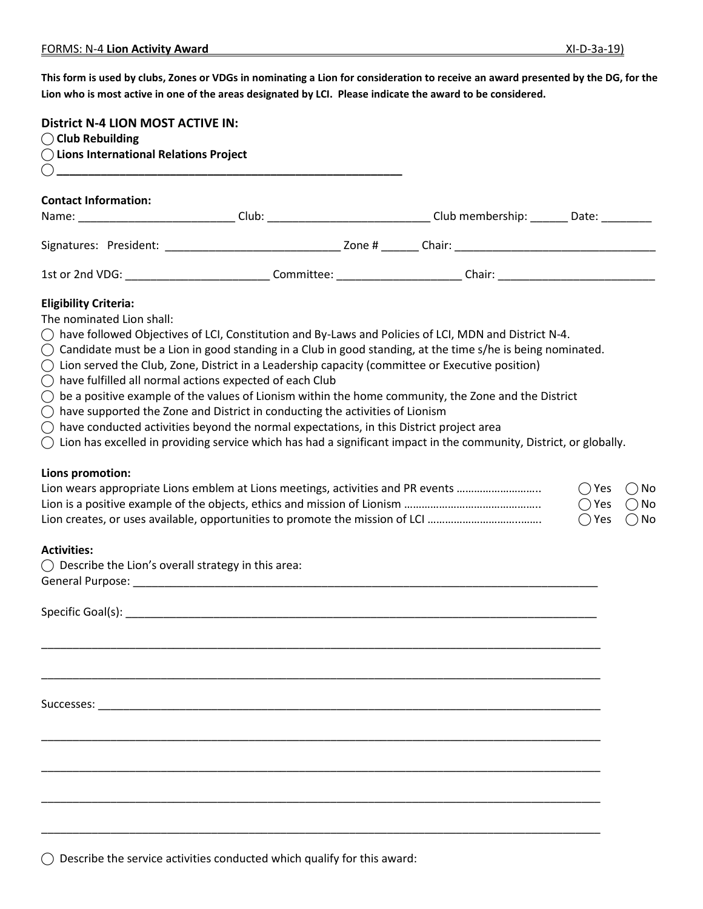**This form is used by clubs, Zones or VDGs in nominating a Lion for consideration to receive an award presented by the DG, for the Lion who is most active in one of the areas designated by LCI. Please indicate the award to be considered.**

| <b>District N-4 LION MOST ACTIVE IN:</b><br>$\bigcirc$ Club Rebuilding              |                                                                                                                                                                                                                                                                                                                                                                                                                                                                                                                                                                                                                                                                                                                                                                                                                                                                                                                                                                                                                                                                                                   |                                                                                                                      |  |  |  |  |
|-------------------------------------------------------------------------------------|---------------------------------------------------------------------------------------------------------------------------------------------------------------------------------------------------------------------------------------------------------------------------------------------------------------------------------------------------------------------------------------------------------------------------------------------------------------------------------------------------------------------------------------------------------------------------------------------------------------------------------------------------------------------------------------------------------------------------------------------------------------------------------------------------------------------------------------------------------------------------------------------------------------------------------------------------------------------------------------------------------------------------------------------------------------------------------------------------|----------------------------------------------------------------------------------------------------------------------|--|--|--|--|
| ◯ Lions International Relations Project<br>$\bigcap$                                |                                                                                                                                                                                                                                                                                                                                                                                                                                                                                                                                                                                                                                                                                                                                                                                                                                                                                                                                                                                                                                                                                                   |                                                                                                                      |  |  |  |  |
| <b>Contact Information:</b>                                                         |                                                                                                                                                                                                                                                                                                                                                                                                                                                                                                                                                                                                                                                                                                                                                                                                                                                                                                                                                                                                                                                                                                   | Name: _______________________________Club: _______________________________Club membership: _________ Date: _________ |  |  |  |  |
|                                                                                     |                                                                                                                                                                                                                                                                                                                                                                                                                                                                                                                                                                                                                                                                                                                                                                                                                                                                                                                                                                                                                                                                                                   |                                                                                                                      |  |  |  |  |
|                                                                                     |                                                                                                                                                                                                                                                                                                                                                                                                                                                                                                                                                                                                                                                                                                                                                                                                                                                                                                                                                                                                                                                                                                   |                                                                                                                      |  |  |  |  |
| <b>Eligibility Criteria:</b><br>The nominated Lion shall:<br>Lions promotion:       | $\bigcirc$ have followed Objectives of LCI, Constitution and By-Laws and Policies of LCI, MDN and District N-4.<br>$\bigcirc$ Candidate must be a Lion in good standing in a Club in good standing, at the time s/he is being nominated.<br>() Lion served the Club, Zone, District in a Leadership capacity (committee or Executive position)<br>$\bigcirc$ have fulfilled all normal actions expected of each Club<br>$\bigcirc$ be a positive example of the values of Lionism within the home community, the Zone and the District<br>$\bigcirc$ have supported the Zone and District in conducting the activities of Lionism<br>$\bigcirc$ have conducted activities beyond the normal expectations, in this District project area<br>$\bigcirc$ Lion has excelled in providing service which has had a significant impact in the community, District, or globally.<br>Lion wears appropriate Lions emblem at Lions meetings, activities and PR events<br>$\bigcirc$ Yes<br>$\bigcirc$ Yes<br>Lion creates, or uses available, opportunities to promote the mission of LCI<br>$\bigcirc$ Yes |                                                                                                                      |  |  |  |  |
| <b>Activities:</b><br>$\bigcirc$ Describe the Lion's overall strategy in this area: |                                                                                                                                                                                                                                                                                                                                                                                                                                                                                                                                                                                                                                                                                                                                                                                                                                                                                                                                                                                                                                                                                                   |                                                                                                                      |  |  |  |  |
|                                                                                     |                                                                                                                                                                                                                                                                                                                                                                                                                                                                                                                                                                                                                                                                                                                                                                                                                                                                                                                                                                                                                                                                                                   |                                                                                                                      |  |  |  |  |

 $\bigcirc$  Describe the service activities conducted which qualify for this award: